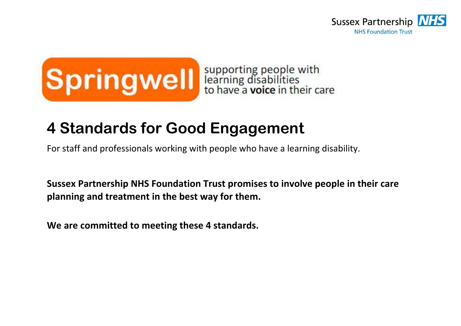



# **4 Standards for Good Engagement**

For staff and professionals working with people who have a learning disability.

**Sussex Partnership NHS Foundation Trust promises to involve people in their care planning and treatment in the best way for them.**

**We are committed to meeting these 4 standards.**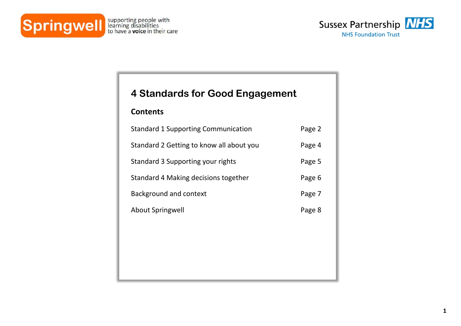



# **4 Standards for Good Engagement**

## **Contents**

| <b>Standard 1 Supporting Communication</b> | Page 2 |
|--------------------------------------------|--------|
| Standard 2 Getting to know all about you   | Page 4 |
| Standard 3 Supporting your rights          | Page 5 |
| Standard 4 Making decisions together       | Page 6 |
| Background and context                     | Page 7 |
| About Springwell                           | Page 8 |
|                                            |        |
|                                            |        |
|                                            |        |
|                                            |        |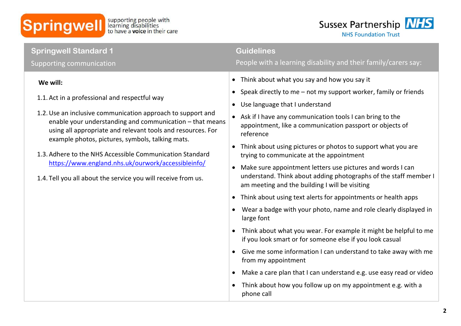



| • Think about what you say and how you say it<br>We will:<br>Speak directly to me - not my support worker, family or friends<br>$\bullet$<br>1.1. Act in a professional and respectful way<br>Use language that I understand<br>$\bullet$<br>1.2. Use an inclusive communication approach to support and<br>Ask if I have any communication tools I can bring to the<br>$\bullet$<br>enable your understanding and communication - that means                                                                                                                                                                                                                                                                                                                                                                                                                                                                                                                                                                                                                                                                                                                                                                                                          | <b>Springwell Standard 1</b><br>Supporting communication | <b>Guidelines</b><br>People with a learning disability and their family/carers say: |
|--------------------------------------------------------------------------------------------------------------------------------------------------------------------------------------------------------------------------------------------------------------------------------------------------------------------------------------------------------------------------------------------------------------------------------------------------------------------------------------------------------------------------------------------------------------------------------------------------------------------------------------------------------------------------------------------------------------------------------------------------------------------------------------------------------------------------------------------------------------------------------------------------------------------------------------------------------------------------------------------------------------------------------------------------------------------------------------------------------------------------------------------------------------------------------------------------------------------------------------------------------|----------------------------------------------------------|-------------------------------------------------------------------------------------|
| using all appropriate and relevant tools and resources. For<br>reference<br>example photos, pictures, symbols, talking mats.<br>Think about using pictures or photos to support what you are<br>$\bullet$<br>1.3. Adhere to the NHS Accessible Communication Standard<br>trying to communicate at the appointment<br>https://www.england.nhs.uk/ourwork/accessibleinfo/<br>Make sure appointment letters use pictures and words I can<br>$\bullet$<br>understand. Think about adding photographs of the staff member I<br>1.4. Tell you all about the service you will receive from us.<br>am meeting and the building I will be visiting<br>Think about using text alerts for appointments or health apps<br>$\bullet$<br>Wear a badge with your photo, name and role clearly displayed in<br>$\bullet$<br>large font<br>Think about what you wear. For example it might be helpful to me<br>$\bullet$<br>if you look smart or for someone else if you look casual<br>Give me some information I can understand to take away with me<br>$\bullet$<br>from my appointment<br>Make a care plan that I can understand e.g. use easy read or video<br>$\bullet$<br>Think about how you follow up on my appointment e.g. with a<br>$\bullet$<br>phone call |                                                          | appointment, like a communication passport or objects of                            |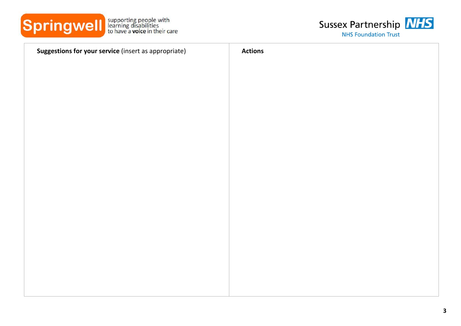



| Suggestions for your service (insert as appropriate) | <b>Actions</b> |
|------------------------------------------------------|----------------|
|                                                      |                |
|                                                      |                |
|                                                      |                |
|                                                      |                |
|                                                      |                |
|                                                      |                |
|                                                      |                |
|                                                      |                |
|                                                      |                |
|                                                      |                |
|                                                      |                |
|                                                      |                |
|                                                      |                |
|                                                      |                |
|                                                      |                |
|                                                      |                |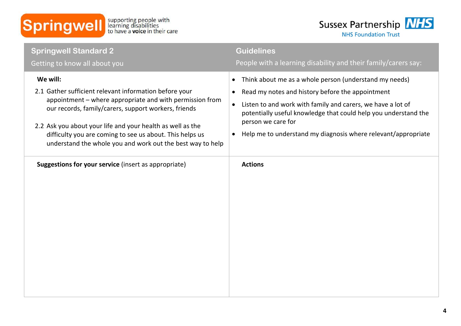



| <b>Springwell Standard 2</b><br>Getting to know all about you                                                                                                                                                                                                                                                                                                                  | <b>Guidelines</b><br>People with a learning disability and their family/carers say:                                                                                                                                                                                                                                                                                                     |
|--------------------------------------------------------------------------------------------------------------------------------------------------------------------------------------------------------------------------------------------------------------------------------------------------------------------------------------------------------------------------------|-----------------------------------------------------------------------------------------------------------------------------------------------------------------------------------------------------------------------------------------------------------------------------------------------------------------------------------------------------------------------------------------|
| We will:<br>2.1 Gather sufficient relevant information before your<br>appointment – where appropriate and with permission from<br>our records, family/carers, support workers, friends<br>2.2 Ask you about your life and your health as well as the<br>difficulty you are coming to see us about. This helps us<br>understand the whole you and work out the best way to help | Think about me as a whole person (understand my needs)<br>$\bullet$<br>Read my notes and history before the appointment<br>$\bullet$<br>Listen to and work with family and carers, we have a lot of<br>$\bullet$<br>potentially useful knowledge that could help you understand the<br>person we care for<br>Help me to understand my diagnosis where relevant/appropriate<br>$\bullet$ |
| Suggestions for your service (insert as appropriate)                                                                                                                                                                                                                                                                                                                           | <b>Actions</b>                                                                                                                                                                                                                                                                                                                                                                          |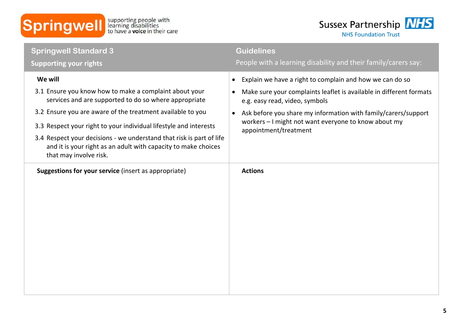



| <b>Springwell Standard 3</b><br><b>Supporting your rights</b>                                                                                                                                                                                                                                                                                                                                                                     | <b>Guidelines</b><br>People with a learning disability and their family/carers say:                                                                                                                                                                                                                                                                         |
|-----------------------------------------------------------------------------------------------------------------------------------------------------------------------------------------------------------------------------------------------------------------------------------------------------------------------------------------------------------------------------------------------------------------------------------|-------------------------------------------------------------------------------------------------------------------------------------------------------------------------------------------------------------------------------------------------------------------------------------------------------------------------------------------------------------|
| We will<br>3.1 Ensure you know how to make a complaint about your<br>services and are supported to do so where appropriate<br>3.2 Ensure you are aware of the treatment available to you<br>3.3 Respect your right to your individual lifestyle and interests<br>3.4 Respect your decisions - we understand that risk is part of life<br>and it is your right as an adult with capacity to make choices<br>that may involve risk. | Explain we have a right to complain and how we can do so<br>$\bullet$<br>Make sure your complaints leaflet is available in different formats<br>$\bullet$<br>e.g. easy read, video, symbols<br>Ask before you share my information with family/carers/support<br>$\bullet$<br>workers - I might not want everyone to know about my<br>appointment/treatment |
| <b>Suggestions for your service (insert as appropriate)</b>                                                                                                                                                                                                                                                                                                                                                                       | <b>Actions</b>                                                                                                                                                                                                                                                                                                                                              |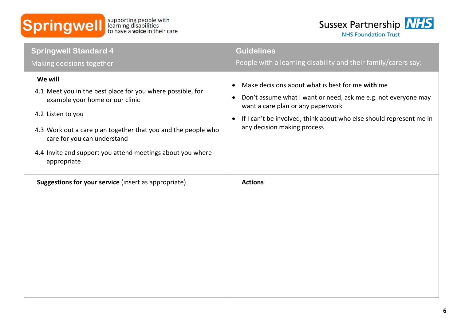



| <b>Springwell Standard 4</b>                                                                                                                                                                                                                                                                                             | <b>Guidelines</b>                                                                                                                                                                                                                                                                                                                                                      |
|--------------------------------------------------------------------------------------------------------------------------------------------------------------------------------------------------------------------------------------------------------------------------------------------------------------------------|------------------------------------------------------------------------------------------------------------------------------------------------------------------------------------------------------------------------------------------------------------------------------------------------------------------------------------------------------------------------|
| Making decisions together<br>We will<br>4.1 Meet you in the best place for you where possible, for<br>example your home or our clinic<br>4.2 Listen to you<br>4.3 Work out a care plan together that you and the people who<br>care for you can understand<br>4.4 Invite and support you attend meetings about you where | People with a learning disability and their family/carers say:<br>Make decisions about what is best for me with me<br>$\bullet$<br>Don't assume what I want or need, ask me e.g. not everyone may<br>$\bullet$<br>want a care plan or any paperwork<br>If I can't be involved, think about who else should represent me in<br>$\bullet$<br>any decision making process |
| appropriate<br>Suggestions for your service (insert as appropriate)                                                                                                                                                                                                                                                      | <b>Actions</b>                                                                                                                                                                                                                                                                                                                                                         |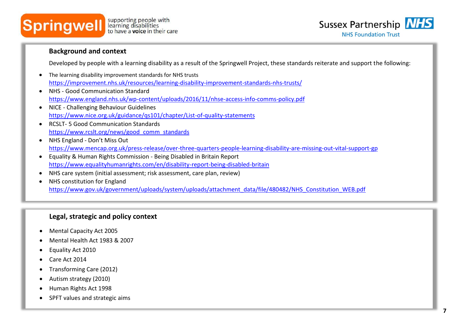



#### **Background and context**

Developed by people with a learning disability as a result of the Springwell Project, these standards reiterate and support the following:

- The learning disability improvement standards for NHS trusts <https://improvement.nhs.uk/resources/learning-disability-improvement-standards-nhs-trusts/>
- NHS Good Communication Standard <https://www.england.nhs.uk/wp-content/uploads/2016/11/nhse-access-info-comms-policy.pdf>
- NICE Challenging Behaviour Guidelines <https://www.nice.org.uk/guidance/qs101/chapter/List-of-quality-statements>
- RCSLT- 5 Good Communication Standards [https://www.rcslt.org/news/good\\_comm\\_standards](https://www.rcslt.org/news/good_comm_standards)
- NHS England Don't Miss Out <https://www.mencap.org.uk/press-release/over-three-quarters-people-learning-disability-are-missing-out-vital-support-gp>
- Equality & Human Rights Commission Being Disabled in Britain Report <https://www.equalityhumanrights.com/en/disability-report-being-disabled-britain>
- NHS care system (initial assessment; risk assessment, care plan, review)
- NHS constitution for England [https://www.gov.uk/government/uploads/system/uploads/attachment\\_data/file/480482/NHS\\_Constitution\\_WEB.pdf](https://www.gov.uk/government/uploads/system/uploads/attachment_data/file/480482/NHS_Constitution_WEB.pdf)

### **Legal, strategic and policy context**

- Mental Capacity Act 2005
- Mental Health Act 1983 & 2007
- Equality Act 2010
- Care Act 2014
- Transforming Care (2012)
- Autism strategy (2010)
- Human Rights Act 1998
- SPFT values and strategic aims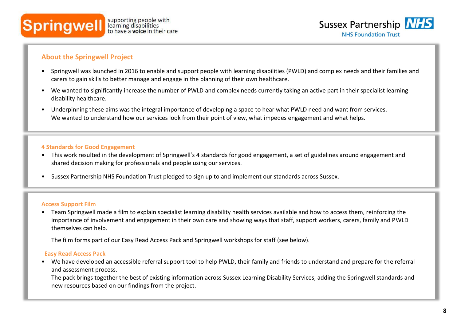



#### **Focus groups About the Springwell Project**  Focus and a series of focus groups for a carefully selected core groups for a carefully selected core groups  $\mathcal{L}$

- Springwell was launched in 2016 to enable and support people with learning disabilities (PWLD) and complex needs and their families and carers to gain skills to better manage and engage in the planning of their own healthcare.
- We wanted to significantly increase the number of PWLD and complex needs currently taking an active part in their specialist learning disability healthcare.
- Underpinning these aims was the integral importance of developing a space to hear what PWLD need and want from services. We wanted to understand how our services look from their point of view, what impedes engagement and what helps.

#### **4 Standards for Good Engagement**

- This work resulted in the development of Springwell's 4 standards for good engagement, a set of guidelines around engagement and shared decision making for professionals and people using our services.
- Sussex Partnership NHS Foundation Trust pledged to sign up to and implement our standards across Sussex.

#### **Access Support Film**

• Team Springwell made a film to explain specialist learning disability health services available and how to access them, reinforcing the importance of involvement and engagement in their own care and showing ways that staff, support workers, carers, family and PWLD themselves can help.

The film forms part of our Easy Read Access Pack and Springwell workshops for staff (see below).

#### **Easy Read Access Pack**

• We have developed an accessible referral support tool to help PWLD, their family and friends to understand and prepare for the referral and assessment process.

The pack brings together the best of existing information across Sussex Learning Disability Services, adding the Springwell standards and new resources based on our findings from the project.